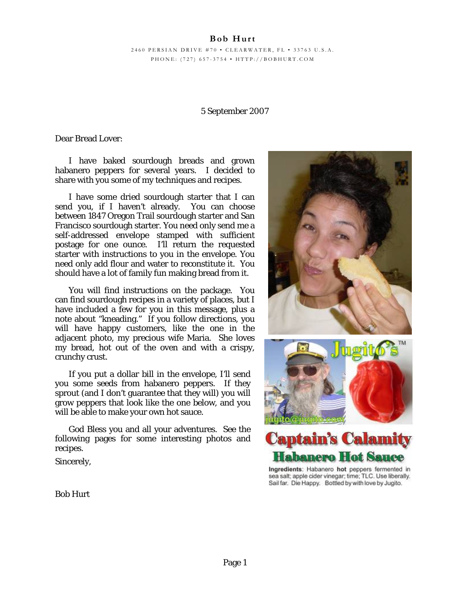# **Bob Hurt**

2460 PERSIAN DRIVE #70 • CLEARWATER, FL • 33763 U.S.A. PHONE: (727) 657-3754 • HTTP://BOBHURT.COM

### 5 September 2007

Dear Bread Lover:

I have baked sourdough breads and grown habanero peppers for several years. I decided to share with you some of my techniques and recipes.

I have some dried sourdough starter that I can send you, if I haven't already. You can choose between 1847 Oregon Trail sourdough starter and San Francisco sourdough starter. You need only send me a self-addressed envelope stamped with sufficient postage for one ounce. I'll return the requested starter with instructions to you in the envelope. You need only add flour and water to reconstitute it. You should have a lot of family fun making bread from it.

You will find instructions on the package. You can find sourdough recipes in a variety of places, but I have included a few for you in this message, plus a note about "kneading." If you follow directions, you will have happy customers, like the one in the adjacent photo, my precious wife Maria. She loves my bread, hot out of the oven and with a crispy, crunchy crust.

If you put a dollar bill in the envelope, I'll send you some seeds from habanero peppers. If they sprout (and I don't guarantee that they will) you will grow peppers that look like the one below, and you will be able to make your own hot sauce.

God Bless you and all your adventures. See the following pages for some interesting photos and recipes.

Sincerely,





Ingredients: Habanero hot peppers fermented in sea salt; apple cider vinegar; time; TLC. Use liberally. Sail far. Die Happy. Bottled by with love by Jugito.

Bob Hurt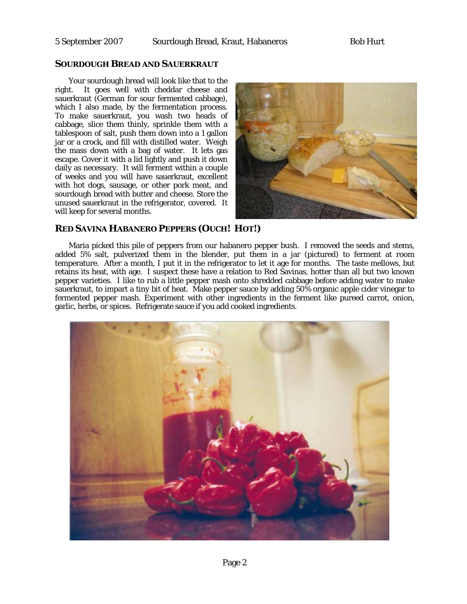### **SOURDOUGH BREAD AND SAUERKRAUT**

Your sourdough bread will look like that to the right. It goes well with cheddar cheese and sauerkraut (German for sour fermented cabbage), which I also made, by the fermentation process. To make sauerkraut, you wash two heads of cabbage, slice them thinly, sprinkle them with a tablespoon of salt, push them down into a 1 gallon jar or a crock, and fill with distilled water. Weigh the mass down with a bag of water. It lets gas escape. Cover it with a lid lightly and push it down daily as necessary. It will ferment within a couple of weeks and you will have sauerkraut, excellent with hot dogs, sausage, or other pork meat, and sourdough bread with butter and cheese. Store the unused sauerkraut in the refrigerator, covered. It will keep for several months.



## **RED SAVINA HABANERO PEPPERS (OUCH! HOT!)**

Maria picked this pile of peppers from our habanero pepper bush. I removed the seeds and stems, added 5% salt, pulverized them in the blender, put them in a jar (pictured) to ferment at room temperature. After a month, I put it in the refrigerator to let it age for months. The taste mellows, but retains its heat, with age. I suspect these have a relation to Red Savinas, hotter than all but two known pepper varieties. I like to rub a little pepper mash onto shredded cabbage before adding water to make sauerkraut, to impart a tiny bit of heat. Make pepper sauce by adding 50% organic apple cider vinegar to fermented pepper mash. Experiment with other ingredients in the ferment like pureed carrot, onion, garlic, herbs, or spices. Refrigerate sauce if you add cooked ingredients.

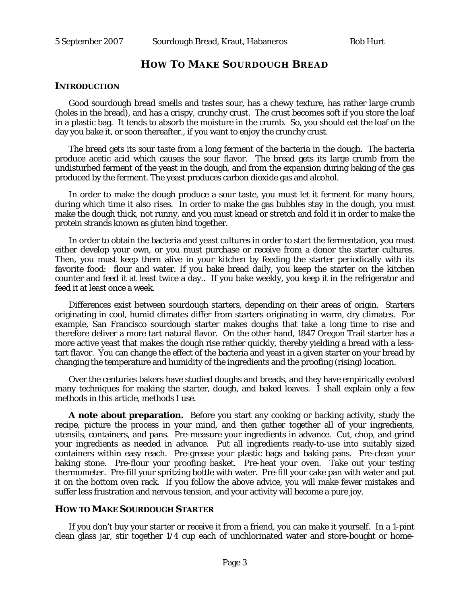## **HOW TO MAKE SOURDOUGH BREAD**

#### **INTRODUCTION**

Good sourdough bread smells and tastes sour, has a chewy texture, has rather large crumb (holes in the bread), and has a crispy, crunchy crust. The crust becomes soft if you store the loaf in a plastic bag. It tends to absorb the moisture in the crumb. So, you should eat the loaf on the day you bake it, or soon thereafter., if you want to enjoy the crunchy crust.

The bread gets its sour taste from a long ferment of the bacteria in the dough. The bacteria produce acetic acid which causes the sour flavor. The bread gets its large crumb from the undisturbed ferment of the yeast in the dough, and from the expansion during baking of the gas produced by the ferment. The yeast produces carbon dioxide gas and alcohol.

In order to make the dough produce a sour taste, you must let it ferment for many hours, during which time it also rises. In order to make the gas bubbles stay in the dough, you must make the dough thick, not runny, and you must knead or stretch and fold it in order to make the protein strands known as gluten bind together.

In order to obtain the bacteria and yeast cultures in order to start the fermentation, you must either develop your own, or you must purchase or receive from a donor the starter cultures. Then, you must keep them alive in your kitchen by feeding the starter periodically with its favorite food: flour and water. If you bake bread daily, you keep the starter on the kitchen counter and feed it at least twice a day.. If you bake weekly, you keep it in the refrigerator and feed it at least once a week.

Differences exist between sourdough starters, depending on their areas of origin. Starters originating in cool, humid climates differ from starters originating in warm, dry climates. For example, San Francisco sourdough starter makes doughs that take a long time to rise and therefore deliver a more tart natural flavor. On the other hand, 1847 Oregon Trail starter has a more active yeast that makes the dough rise rather quickly, thereby yielding a bread with a lesstart flavor. You can change the effect of the bacteria and yeast in a given starter on your bread by changing the temperature and humidity of the ingredients and the proofing (rising) location.

Over the centuries bakers have studied doughs and breads, and they have empirically evolved many techniques for making the starter, dough, and baked loaves. I shall explain only a few methods in this article, methods I use.

**A note about preparation.** Before you start any cooking or backing activity, study the recipe, picture the process in your mind, and then gather together all of your ingredients, utensils, containers, and pans. Pre-measure your ingredients in advance. Cut, chop, and grind your ingredients as needed in advance. Put all ingredients ready-to-use into suitably sized containers within easy reach. Pre-grease your plastic bags and baking pans. Pre-clean your baking stone. Pre-flour your proofing basket. Pre-heat your oven. Take out your testing thermometer. Pre-fill your spritzing bottle with water. Pre-fill your cake pan with water and put it on the bottom oven rack. If you follow the above advice, you will make fewer mistakes and suffer less frustration and nervous tension, and your activity will become a pure joy.

#### **HOW TO MAKE SOURDOUGH STARTER**

If you don't buy your starter or receive it from a friend, you can make it yourself. In a 1-pint clean glass jar, stir together 1/4 cup each of unchlorinated water and store-bought or home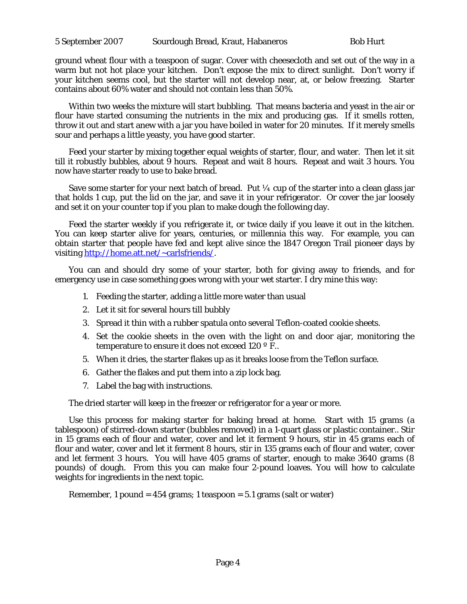ground wheat flour with a teaspoon of sugar. Cover with cheesecloth and set out of the way in a warm but not hot place your kitchen. Don't expose the mix to direct sunlight. Don't worry if your kitchen seems cool, but the starter will not develop near, at, or below freezing. Starter contains about 60% water and should not contain less than 50%.

Within two weeks the mixture will start bubbling. That means bacteria and yeast in the air or flour have started consuming the nutrients in the mix and producing gas. If it smells rotten, throw it out and start anew with a jar you have boiled in water for 20 minutes. If it merely smells sour and perhaps a little yeasty, you have good starter.

Feed your starter by mixing together equal weights of starter, flour, and water. Then let it sit till it robustly bubbles, about 9 hours. Repeat and wait 8 hours. Repeat and wait 3 hours. You now have starter ready to use to bake bread.

Save some starter for your next batch of bread. Put  $\frac{1}{4}$  cup of the starter into a clean glass jar that holds 1 cup, put the lid on the jar, and save it in your refrigerator. Or cover the jar loosely and set it on your counter top if you plan to make dough the following day.

Feed the starter weekly if you refrigerate it, or twice daily if you leave it out in the kitchen. You can keep starter alive for years, centuries, or millennia this way. For example, you can obtain starter that people have fed and kept alive since the 1847 Oregon Trail pioneer days by visiting [http://home.att.net/~carlsfriends/.](http://home.att.net/%7Ecarlsfriends/)

You can and should dry some of your starter, both for giving away to friends, and for emergency use in case something goes wrong with your wet starter. I dry mine this way:

- 1. Feeding the starter, adding a little more water than usual
- 2. Let it sit for several hours till bubbly
- 3. Spread it thin with a rubber spatula onto several Teflon-coated cookie sheets.
- 4. Set the cookie sheets in the oven with the light on and door ajar, monitoring the temperature to ensure it does not exceed 120 ° F..
- 5. When it dries, the starter flakes up as it breaks loose from the Teflon surface.
- 6. Gather the flakes and put them into a zip lock bag.
- 7. Label the bag with instructions.

The dried starter will keep in the freezer or refrigerator for a year or more.

Use this process for making starter for baking bread at home. Start with 15 grams (a tablespoon) of stirred-down starter (bubbles removed) in a 1-quart glass or plastic container.. Stir in 15 grams each of flour and water, cover and let it ferment 9 hours, stir in 45 grams each of flour and water, cover and let it ferment 8 hours, stir in 135 grams each of flour and water, cover and let ferment 3 hours. You will have 405 grams of starter, enough to make 3640 grams (8 pounds) of dough. From this you can make four 2-pound loaves. You will how to calculate weights for ingredients in the next topic.

Remember, 1 pound  $= 454$  grams; 1 teaspoon  $= 5.1$  grams (salt or water)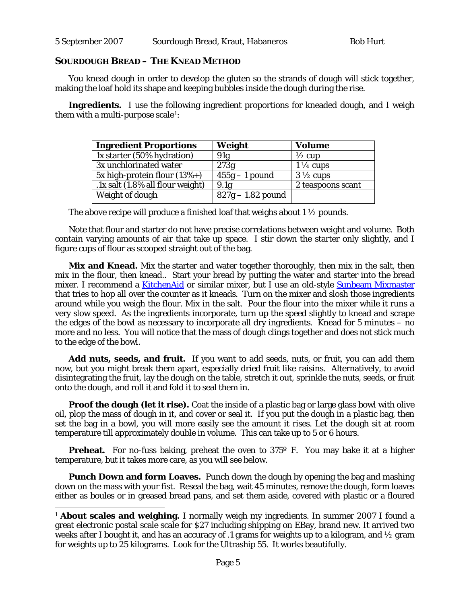## **SOURDOUGH BREAD – THE KNEAD METHOD**

-

You knead dough in order to develop the gluten so the strands of dough will stick together, making the loaf hold its shape and keeping bubbles inside the dough during the rise.

**Ingredients.** I use the following ingredient proportions for kneaded dough, and I weigh them with a multi-purpose scale[1](#page-4-0):

| Weight              | <b>Volume</b>       |
|---------------------|---------------------|
| 91g                 | $\frac{1}{2}$ cup   |
| 273g                | $1\frac{1}{4}$ cups |
| $455g - 1$ pound    | $3\frac{1}{2}$ cups |
| 9.1 <sub>g</sub>    | 2 teaspoons scant   |
| $827g - 1.82$ pound |                     |
|                     |                     |

The above recipe will produce a finished loaf that weighs about  $1\frac{1}{2}$  pounds.

Note that flour and starter do not have precise correlations between weight and volume. Both contain varying amounts of air that take up space. I stir down the starter only slightly, and I figure cups of flour as scooped straight out of the bag.

**Mix and Knead.** Mix the starter and water together thoroughly, then mix in the salt, then mix in the flour, then knead.. Start your bread by putting the water and starter into the bread mixer. I recommend a **[KitchenAid](http://www.kitchenaid.com/catalog/category.jsp?categoryId=310)** or similar mixer, but I use an old-style **[Sunbeam Mixmaster](http://www.sunbeam.com/productdetail.aspx?PId=224)** that tries to hop all over the counter as it kneads. Turn on the mixer and slosh those ingredients around while you weigh the flour. Mix in the salt. Pour the flour into the mixer while it runs a very slow speed. As the ingredients incorporate, turn up the speed slightly to knead and scrape the edges of the bowl as necessary to incorporate all dry ingredients. Knead for 5 minutes – no more and no less. You will notice that the mass of dough clings together and does not stick much to the edge of the bowl.

**Add nuts, seeds, and fruit.** If you want to add seeds, nuts, or fruit, you can add them now, but you might break them apart, especially dried fruit like raisins. Alternatively, to avoid disintegrating the fruit, lay the dough on the table, stretch it out, sprinkle the nuts, seeds, or fruit onto the dough, and roll it and fold it to seal them in.

**Proof the dough (let it rise).** Coat the inside of a plastic bag or large glass bowl with olive oil, plop the mass of dough in it, and cover or seal it. If you put the dough in a plastic bag, then set the bag in a bowl, you will more easily see the amount it rises. Let the dough sit at room temperature till approximately double in volume. This can take up to 5 or 6 hours.

**Preheat.** For no-fuss baking, preheat the oven to 375° F. You may bake it at a higher temperature, but it takes more care, as you will see below.

**Punch Down and form Loaves.** Punch down the dough by opening the bag and mashing down on the mass with your fist. Reseal the bag, wait 45 minutes, remove the dough, form loaves either as boules or in greased bread pans, and set them aside, covered with plastic or a floured

<span id="page-4-0"></span><sup>&</sup>lt;sup>1</sup> **About scales and weighing.** I normally weigh my ingredients. In summer 2007 I found a great electronic postal scale scale for \$27 including shipping on EBay, brand new. It arrived two weeks after I bought it, and has an accuracy of .1 grams for weights up to a kilogram, and ½ gram for weights up to 25 kilograms. Look for the Ultraship 55. It works beautifully.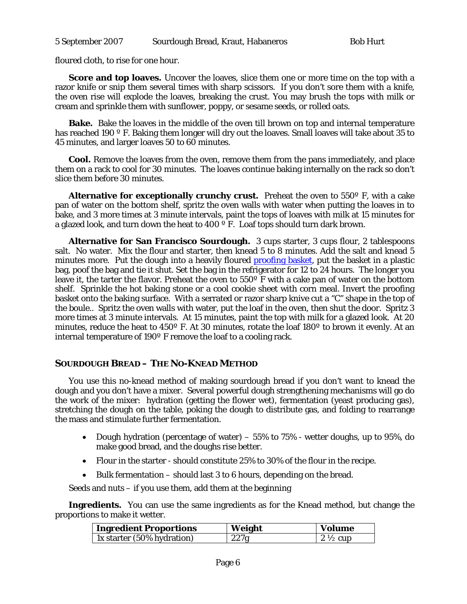floured cloth, to rise for one hour.

**Score and top loaves.** Uncover the loaves, slice them one or more time on the top with a razor knife or snip them several times with sharp scissors. If you don't sore them with a knife, the oven rise will explode the loaves, breaking the crust. You may brush the tops with milk or cream and sprinkle them with sunflower, poppy, or sesame seeds, or rolled oats.

**Bake.** Bake the loaves in the middle of the oven till brown on top and internal temperature has reached 190 º F. Baking them longer will dry out the loaves. Small loaves will take about 35 to 45 minutes, and larger loaves 50 to 60 minutes.

**Cool.** Remove the loaves from the oven, remove them from the pans immediately, and place them on a rack to cool for 30 minutes. The loaves continue baking internally on the rack so don't slice them before 30 minutes.

**Alternative for exceptionally crunchy crust.** Preheat the oven to 550º F, with a cake pan of water on the bottom shelf, spritz the oven walls with water when putting the loaves in to bake, and 3 more times at 3 minute intervals, paint the tops of loaves with milk at 15 minutes for a glazed look, and turn down the heat to 400 º F. Loaf tops should turn dark brown.

**Alternative for San Francisco Sourdough.** 3 cups starter, 3 cups flour, 2 tablespoons salt. No water. Mix the flour and starter, then knead 5 to 8 minutes. Add the salt and knead 5 minutes more. Put the dough into a heavily floured **[proofing basket](http://www.google.com/search?q=proofing%20basket&sourceid=groowe&ie=utf-8&oe=utf-8)**, put the basket in a plastic bag, poof the bag and tie it shut. Set the bag in the refrigerator for 12 to 24 hours. The longer you leave it, the tarter the flavor. Preheat the oven to 550º F with a cake pan of water on the bottom shelf. Sprinkle the hot baking stone or a cool cookie sheet with corn meal. Invert the proofing basket onto the baking surface. With a serrated or razor sharp knive cut a "C" shape in the top of the boule.. Spritz the oven walls with water, put the loaf in the oven, then shut the door. Spritz 3 more times at 3 minute intervals. At 15 minutes, paint the top with milk for a glazed look. At 20 minutes, reduce the heat to 450º F. At 30 minutes, rotate the loaf 180º to brown it evenly. At an internal temperature of 190º F remove the loaf to a cooling rack.

## **SOURDOUGH BREAD – THE NO-KNEAD METHOD**

You use this no-knead method of making sourdough bread if you don't want to knead the dough and you don't have a mixer. Several powerful dough strengthening mechanisms will go do the work of the mixer: hydration (getting the flower wet), fermentation (yeast producing gas), stretching the dough on the table, poking the dough to distribute gas, and folding to rearrange the mass and stimulate further fermentation.

- Dough hydration (percentage of water) 55% to 75% wetter doughs, up to 95%, do make good bread, and the doughs rise better.
- Flour in the starter should constitute 25% to 30% of the flour in the recipe.
- Bulk fermentation should last 3 to 6 hours, depending on the bread.

Seeds and nuts – if you use them, add them at the beginning

**Ingredients.** You can use the same ingredients as for the Knead method, but change the proportions to make it wetter.

| <b>Ingredient Proportions</b> | Weight | Volume             |
|-------------------------------|--------|--------------------|
| 1x starter (50% hydration)    | 227g   | $2\frac{1}{2}$ cup |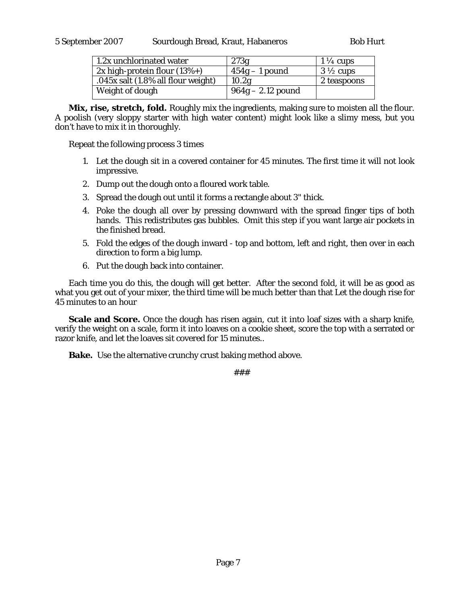| 1.2x unchlorinated water           | 273g                | $1\frac{1}{4}$ cups |
|------------------------------------|---------------------|---------------------|
| $2x$ high-protein flour (13%+)     | $454g - 1$ pound    | $3\frac{1}{2}$ cups |
| .045x salt (1.8% all flour weight) | 10.2g               | 2 teaspoons         |
| Weight of dough                    | $964g - 2.12$ pound |                     |

**Mix, rise, stretch, fold.** Roughly mix the ingredients, making sure to moisten all the flour. A poolish (very sloppy starter with high water content) might look like a slimy mess, but you don't have to mix it in thoroughly.

Repeat the following process 3 times

- 1. Let the dough sit in a covered container for 45 minutes. The first time it will not look impressive.
- 2. Dump out the dough onto a floured work table.
- 3. Spread the dough out until it forms a rectangle about 3" thick.
- 4. Poke the dough all over by pressing downward with the spread finger tips of both hands. This redistributes gas bubbles. Omit this step if you want large air pockets in the finished bread.
- 5. Fold the edges of the dough inward top and bottom, left and right, then over in each direction to form a big lump.
- 6. Put the dough back into container.

Each time you do this, the dough will get better. After the second fold, it will be as good as what you get out of your mixer, the third time will be much better than that Let the dough rise for 45 minutes to an hour

**Scale and Score.** Once the dough has risen again, cut it into loaf sizes with a sharp knife, verify the weight on a scale, form it into loaves on a cookie sheet, score the top with a serrated or razor knife, and let the loaves sit covered for 15 minutes..

**Bake.** Use the alternative crunchy crust baking method above.

<sup>###</sup>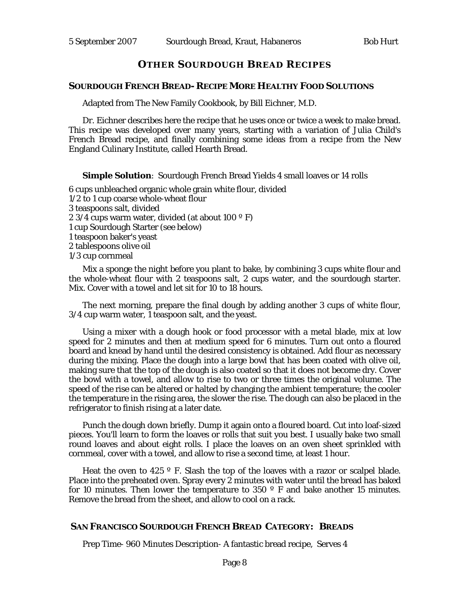### **OTHER SOURDOUGH BREAD RECIPES**

#### **SOURDOUGH FRENCH BREAD- RECIPE MORE HEALTHY FOOD SOLUTIONS**

Adapted from The New Family Cookbook, by Bill Eichner, M.D.

Dr. Eichner describes here the recipe that he uses once or twice a week to make bread. This recipe was developed over many years, starting with a variation of Julia Child's French Bread recipe, and finally combining some ideas from a recipe from the New England Culinary Institute, called Hearth Bread.

**Simple Solution**: Sourdough French Bread Yields 4 small loaves or 14 rolls

6 cups unbleached organic whole grain white flour, divided 1/2 to 1 cup coarse whole-wheat flour 3 teaspoons salt, divided 2 3/4 cups warm water, divided (at about  $100^{\circ}$  F) 1 cup Sourdough Starter (see below) 1 teaspoon baker's yeast 2 tablespoons olive oil 1/3 cup cornmeal

Mix a sponge the night before you plant to bake, by combining 3 cups white flour and the whole-wheat flour with 2 teaspoons salt, 2 cups water, and the sourdough starter. Mix. Cover with a towel and let sit for 10 to 18 hours.

The next morning, prepare the final dough by adding another 3 cups of white flour, 3/4 cup warm water, 1 teaspoon salt, and the yeast.

Using a mixer with a dough hook or food processor with a metal blade, mix at low speed for 2 minutes and then at medium speed for 6 minutes. Turn out onto a floured board and knead by hand until the desired consistency is obtained. Add flour as necessary during the mixing. Place the dough into a large bowl that has been coated with olive oil, making sure that the top of the dough is also coated so that it does not become dry. Cover the bowl with a towel, and allow to rise to two or three times the original volume. The speed of the rise can be altered or halted by changing the ambient temperature; the cooler the temperature in the rising area, the slower the rise. The dough can also be placed in the refrigerator to finish rising at a later date.

Punch the dough down briefly. Dump it again onto a floured board. Cut into loaf-sized pieces. You'll learn to form the loaves or rolls that suit you best. I usually bake two small round loaves and about eight rolls. I place the loaves on an oven sheet sprinkled with cornmeal, cover with a towel, and allow to rise a second time, at least 1 hour.

Heat the oven to 425 º F. Slash the top of the loaves with a razor or scalpel blade. Place into the preheated oven. Spray every 2 minutes with water until the bread has baked for 10 minutes. Then lower the temperature to 350 $^{\circ}$  F and bake another 15 minutes. Remove the bread from the sheet, and allow to cool on a rack.

### **SAN FRANCISCO SOURDOUGH FRENCH BREAD CATEGORY: BREADS**

Prep Time- 960 Minutes Description- A fantastic bread recipe, Serves 4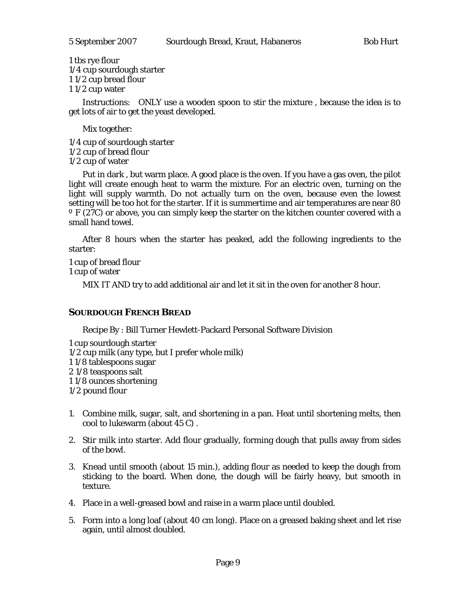1 tbs rye flour 1/4 cup sourdough starter 1 1/2 cup bread flour 1 1/2 cup water

Instructions: ONLY use a wooden spoon to stir the mixture , because the idea is to get lots of air to get the yeast developed.

Mix together:

- 1/4 cup of sourdough starter
- 1/2 cup of bread flour
- 1/2 cup of water

Put in dark , but warm place. A good place is the oven. If you have a gas oven, the pilot light will create enough heat to warm the mixture. For an electric oven, turning on the light will supply warmth. Do not actually turn on the oven, because even the lowest setting will be too hot for the starter. If it is summertime and air temperatures are near 80 º F (27C) or above, you can simply keep the starter on the kitchen counter covered with a small hand towel.

After 8 hours when the starter has peaked, add the following ingredients to the starter:

1 cup of bread flour 1 cup of water

MIX IT AND try to add additional air and let it sit in the oven for another 8 hour.

# **SOURDOUGH FRENCH BREAD**

Recipe By : Bill Turner Hewlett-Packard Personal Software Division

- 1 cup sourdough starter
- 1/2 cup milk (any type, but I prefer whole milk)
- 1 1/8 tablespoons sugar
- 2 1/8 teaspoons salt
- 1 1/8 ounces shortening
- 1/2 pound flour
- 1. Combine milk, sugar, salt, and shortening in a pan. Heat until shortening melts, then cool to lukewarm (about 45 C) .
- 2. Stir milk into starter. Add flour gradually, forming dough that pulls away from sides of the bowl.
- 3. Knead until smooth (about 15 min.), adding flour as needed to keep the dough from sticking to the board. When done, the dough will be fairly heavy, but smooth in texture.
- 4. Place in a well-greased bowl and raise in a warm place until doubled.
- 5. Form into a long loaf (about 40 cm long). Place on a greased baking sheet and let rise again, until almost doubled.